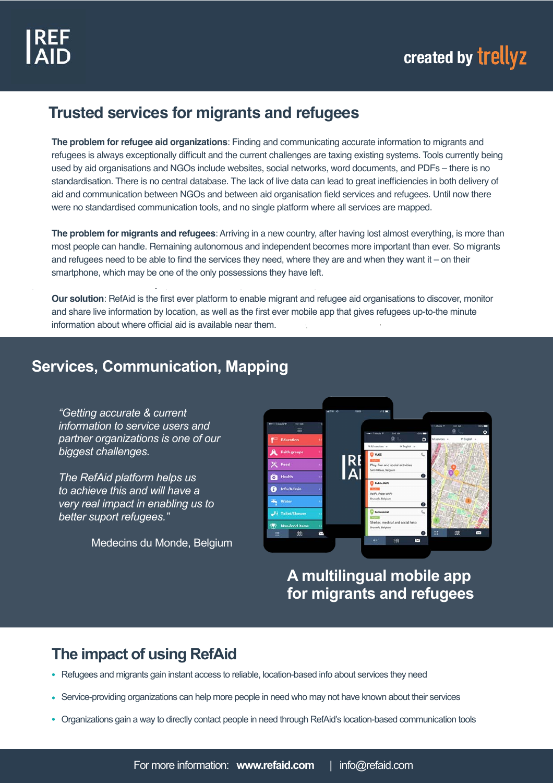### **Trusted services for migrants and refugees**

**The problem for refugee aid organizations**: Finding and communicating accurate information to migrants and refugees is always exceptionally difficult and the current challenges are taxing existing systems. Tools currently being used by aid organisations and NGOs include websites, social networks, word documents, and PDFs – there is no standardisation. There is no central database. The lack of live data can lead to great inefficiencies in both delivery of aid and communication between NGOs and between aid organisation field services and refugees. Until now there were no standardised communication tools, and no single platform where all services are mapped.

**The problem for migrants and refugees**: Arriving in a new country, after having lost almost everything, is more than most people can handle. Remaining autonomous and independent becomes more important than ever. So migrants and refugees need to be able to find the services they need, where they are and when they want it – on their smartphone, which may be one of the only possessions they have left.

**Our solution**: RefAid is the first ever platform to enable migrant and refugee aid organisations to discover, monitor and share live information by location, as well as the first ever mobile app that gives refugees up-to-the minute information about where official aid is available near them.

## **Services, Communication, Mapping**

*"Getting accurate & current information to service users and partner organizations is one of our biggest challenges.*

*The RefAid platform helps us to achieve this and will have a very real impact in enabling us to better suport refugees."*

Medecins du Monde, Belgium



**A multilingual mobile app for migrants and refugees**

## **The impact of using RefAid**

- Refugees and migrants gain instant access to reliable, location-based info about services they need
- Service-providing organizations can help more people in need who may not have known about their services
- Organizations gain a way to directly contact people in need through RefAid's location-based communication tools